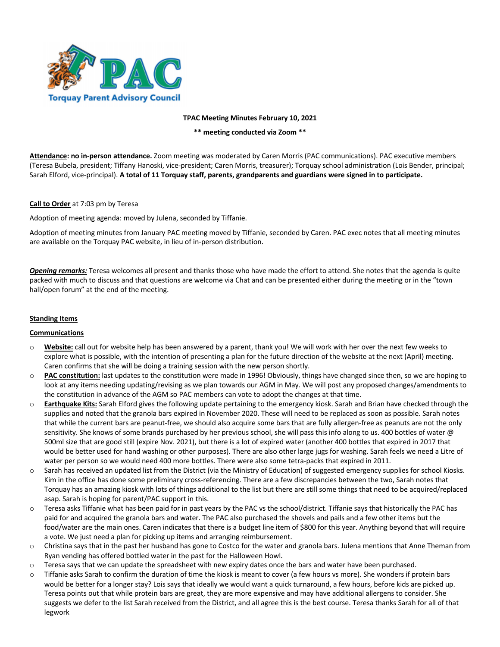

**TPAC Meeting Minutes February 10, 2021**

**\*\* meeting conducted via Zoom \*\***

**Attendance: no in-person attendance.** Zoom meeting was moderated by Caren Morris (PAC communications). PAC executive members (Teresa Bubela, president; Tiffany Hanoski, vice-president; Caren Morris, treasurer); Torquay school administration (Lois Bender, principal; Sarah Elford, vice-principal). **A total of 11 Torquay staff, parents, grandparents and guardians were signed in to participate.**

## **Call to Order** at 7:03 pm by Teresa

Adoption of meeting agenda: moved by Julena, seconded by Tiffanie.

Adoption of meeting minutes from January PAC meeting moved by Tiffanie, seconded by Caren. PAC exec notes that all meeting minutes are available on the Torquay PAC website, in lieu of in-person distribution.

*Opening remarks:* Teresa welcomes all present and thanks those who have made the effort to attend. She notes that the agenda is quite packed with much to discuss and that questions are welcome via Chat and can be presented either during the meeting or in the "town hall/open forum" at the end of the meeting.

## **Standing Items**

#### **Communications**

- o **Website:** call out for website help has been answered by a parent, thank you! We will work with her over the next few weeks to explore what is possible, with the intention of presenting a plan for the future direction of the website at the next (April) meeting. Caren confirms that she will be doing a training session with the new person shortly.
- o **PAC constitution:** last updates to the constitution were made in 1996! Obviously, things have changed since then, so we are hoping to look at any items needing updating/revising as we plan towards our AGM in May. We will post any proposed changes/amendments to the constitution in advance of the AGM so PAC members can vote to adopt the changes at that time.
- o **Earthquake Kits:** Sarah Elford gives the following update pertaining to the emergency kiosk. Sarah and Brian have checked through the supplies and noted that the granola bars expired in November 2020. These will need to be replaced as soon as possible. Sarah notes that while the current bars are peanut-free, we should also acquire some bars that are fully allergen-free as peanuts are not the only sensitivity. She knows of some brands purchased by her previous school, she will pass this info along to us. 400 bottles of water @ 500ml size that are good still (expire Nov. 2021), but there is a lot of expired water (another 400 bottles that expired in 2017 that would be better used for hand washing or other purposes). There are also other large jugs for washing. Sarah feels we need a Litre of water per person so we would need 400 more bottles. There were also some tetra-packs that expired in 2011.
- o Sarah has received an updated list from the District (via the Ministry of Education) of suggested emergency supplies for school Kiosks. Kim in the office has done some preliminary cross-referencing. There are a few discrepancies between the two, Sarah notes that Torquay has an amazing kiosk with lots of things additional to the list but there are still some things that need to be acquired/replaced asap. Sarah is hoping for parent/PAC support in this.
- o Teresa asks Tiffanie what has been paid for in past years by the PAC vs the school/district. Tiffanie says that historically the PAC has paid for and acquired the granola bars and water. The PAC also purchased the shovels and pails and a few other items but the food/water are the main ones. Caren indicates that there is a budget line item of \$800 for this year. Anything beyond that will require a vote. We just need a plan for picking up items and arranging reimbursement.
- o Christina says that in the past her husband has gone to Costco for the water and granola bars. Julena mentions that Anne Theman from Ryan vending has offered bottled water in the past for the Halloween Howl.
- $\circ$  Teresa says that we can update the spreadsheet with new expiry dates once the bars and water have been purchased.
- o Tiffanie asks Sarah to confirm the duration of time the kiosk is meant to cover (a few hours vs more). She wonders if protein bars would be better for a longer stay? Lois says that ideally we would want a quick turnaround, a few hours, before kids are picked up. Teresa points out that while protein bars are great, they are more expensive and may have additional allergens to consider. She suggests we defer to the list Sarah received from the District, and all agree this is the best course. Teresa thanks Sarah for all of that legwork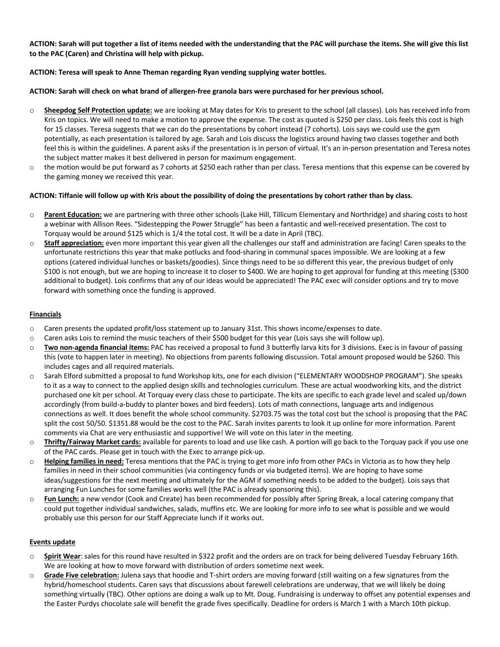**ACTION: Sarah will put together a list of items needed with the understanding that the PAC will purchase the items. She will give this list to the PAC (Caren) and Christina will help with pickup.**

## **ACTION: Teresa will speak to Anne Theman regarding Ryan vending supplying water bottles.**

### **ACTION: Sarah will check on what brand of allergen-free granola bars were purchased for her previous school.**

- o **Sheepdog Self Protection update:** we are looking at May dates for Kris to present to the school (all classes). Lois has received info from Kris on topics. We will need to make a motion to approve the expense. The cost as quoted is \$250 per class. Lois feels this cost is high for 15 classes. Teresa suggests that we can do the presentations by cohort instead (7 cohorts). Lois says we could use the gym potentially, as each presentation is tailored by age. Sarah and Lois discuss the logistics around having two classes together and both feel this is within the guidelines. A parent asks if the presentation is in person of virtual. It's an in-person presentation and Teresa notes the subject matter makes it best delivered in person for maximum engagement.
- $\circ$  the motion would be put forward as 7 cohorts at \$250 each rather than per class. Teresa mentions that this expense can be covered by the gaming money we received this year.

#### **ACTION: Tiffanie will follow up with Kris about the possibility of doing the presentations by cohort rather than by class.**

- o **Parent Education:** we are partnering with three other schools (Lake Hill, Tillicum Elementary and Northridge) and sharing costs to host a webinar with Allison Rees. "Sidestepping the Power Struggle" has been a fantastic and well-received presentation. The cost to Torquay would be around \$125 which is 1/4 the total cost. It will be a date in April (TBC).
- o **Staff appreciation:** even more important this year given all the challenges our staff and administration are facing! Caren speaks to the unfortunate restrictions this year that make potlucks and food-sharing in communal spaces impossible. We are looking at a few options (catered individual lunches or baskets/goodies). Since things need to be so different this year, the previous budget of only \$100 is not enough, but we are hoping to increase it to closer to \$400. We are hoping to get approval for funding at this meeting (\$300 additional to budget). Lois confirms that any of our ideas would be appreciated! The PAC exec will consider options and try to move forward with something once the funding is approved.

## **Financials**

- o Caren presents the updated profit/loss statement up to January 31st. This shows income/expenses to date.
- $\circ$  Caren asks Lois to remind the music teachers of their \$500 budget for this year (Lois says she will follow up).
- o **Two non-agenda financial items:** PAC has received a proposal to fund 3 butterfly larva kits for 3 divisions. Exec is in favour of passing this (vote to happen later in meeting). No objections from parents following discussion. Total amount proposed would be \$260. This includes cages and all required materials.
- o Sarah Elford submitted a proposal to fund Workshop kits, one for each division ("ELEMENTARY WOODSHOP PROGRAM"). She speaks to it as a way to connect to the applied design skills and technologies curriculum. These are actual woodworking kits, and the district purchased one kit per school. At Torquay every class chose to participate. The kits are specific to each grade level and scaled up/down accordingly (from build-a-buddy to planter boxes and bird feeders). Lots of math connections, language arts and indigenous connections as well. It does benefit the whole school community. \$2703.75 was the total cost but the school is proposing that the PAC split the cost 50/50. \$1351.88 would be the cost to the PAC. Sarah invites parents to look it up online for more information. Parent comments via Chat are very enthusiastic and supportive! We will vote on this later in the meeting.
- o **Thrifty/Fairway Market cards:** available for parents to load and use like cash. A portion will go back to the Torquay pack if you use one of the PAC cards. Please get in touch with the Exec to arrange pick-up.
- o **Helping families in need:** Teresa mentions that the PAC is trying to get more info from other PACs in Victoria as to how they help families in need in their school communities (via contingency funds or via budgeted items). We are hoping to have some ideas/suggestions for the next meeting and ultimately for the AGM if something needs to be added to the budget). Lois says that arranging Fun Lunches for some families works well (the PAC is already sponsoring this).
- o **Fun Lunch:** a new vendor (Cook and Create) has been recommended for possibly after Spring Break, a local catering company that could put together individual sandwiches, salads, muffins etc. We are looking for more info to see what is possible and we would probably use this person for our Staff Appreciate lunch if it works out.

#### **Events update**

- o **Spirit Wear**: sales for this round have resulted in \$322 profit and the orders are on track for being delivered Tuesday February 16th. We are looking at how to move forward with distribution of orders sometime next week.
- o **Grade Five celebration:** Julena says that hoodie and T-shirt orders are moving forward (still waiting on a few signatures from the hybrid/homeschool students. Caren says that discussions about farewell celebrations are underway, that we will likely be doing something virtually (TBC). Other options are doing a walk up to Mt. Doug. Fundraising is underway to offset any potential expenses and the Easter Purdys chocolate sale will benefit the grade fives specifically. Deadline for orders is March 1 with a March 10th pickup.